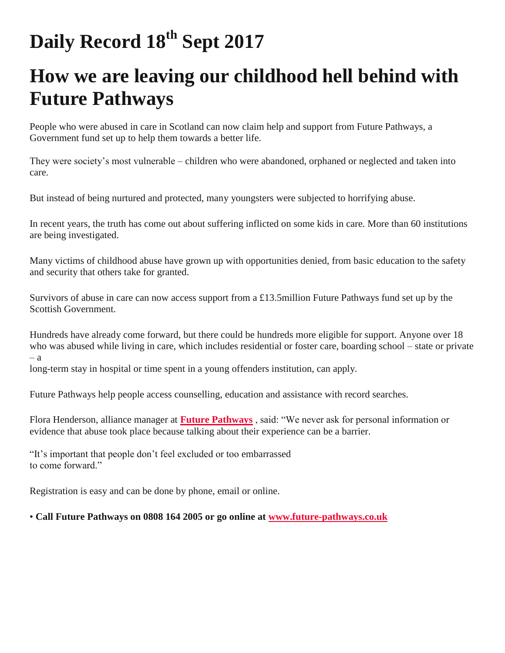# **Daily Record 18th Sept 2017**

## **How we are leaving our childhood hell behind with Future Pathways**

People who were abused in care in Scotland can now claim help and support from Future Pathways, a Government fund set up to help them towards a better life.

They were society's most vulnerable – children who were abandoned, orphaned or neglected and taken into care.

But instead of being nurtured and protected, many youngsters were subjected to horrifying abuse.

In recent years, the truth has come out about suffering inflicted on some kids in care. More than 60 institutions are being investigated.

Many victims of childhood abuse have grown up with opportunities denied, from basic education to the safety and security that others take for granted.

Survivors of abuse in care can now access support from a £13.5million Future Pathways fund set up by the Scottish Government.

Hundreds have already come forward, but there could be hundreds more eligible for support. Anyone over 18 who was abused while living in care, which includes residential or foster care, boarding school – state or private  $-<sub>a</sub>$ 

long-term stay in hospital or time spent in a young offenders institution, can apply.

Future Pathways help people access counselling, education and assistance with record searches.

Flora Henderson, alliance manager at **[Future Pathways](https://future-pathways.co.uk/)** , said: "We never ask for personal information or evidence that abuse took place because talking about their experience can be a barrier.

"It's important that people don't feel excluded or too embarrassed to come forward."

Registration is easy and can be done by phone, email or online.

#### • **Call Future Pathways on 0808 164 2005 or go online at [www.future-pathways.co.uk](https://future-pathways.co.uk/)**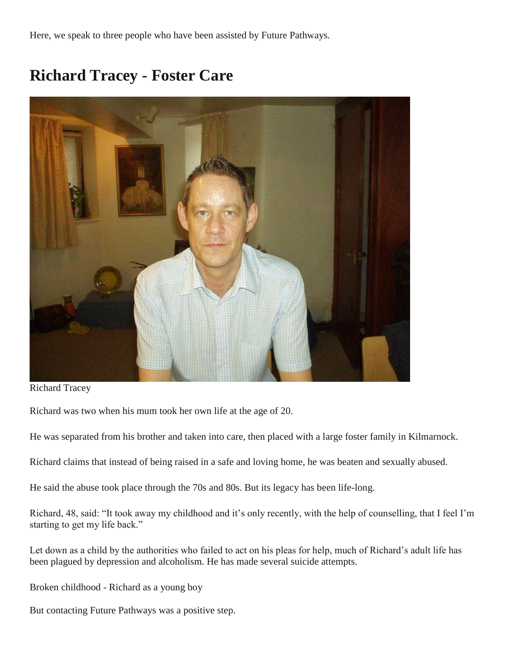Here, we speak to three people who have been assisted by Future Pathways.

### **Richard Tracey - Foster Care**



Richard Tracey

Richard was two when his mum took her own life at the age of 20.

He was separated from his brother and taken into care, then placed with a large foster family in Kilmarnock.

Richard claims that instead of being raised in a safe and loving home, he was beaten and sexually abused.

He said the abuse took place through the 70s and 80s. But its legacy has been life-long.

Richard, 48, said: "It took away my childhood and it's only recently, with the help of counselling, that I feel I'm starting to get my life back."

Let down as a child by the authorities who failed to act on his pleas for help, much of Richard's adult life has been plagued by depression and alcoholism. He has made several suicide attempts.

Broken childhood - Richard as a young boy

But contacting Future Pathways was a positive step.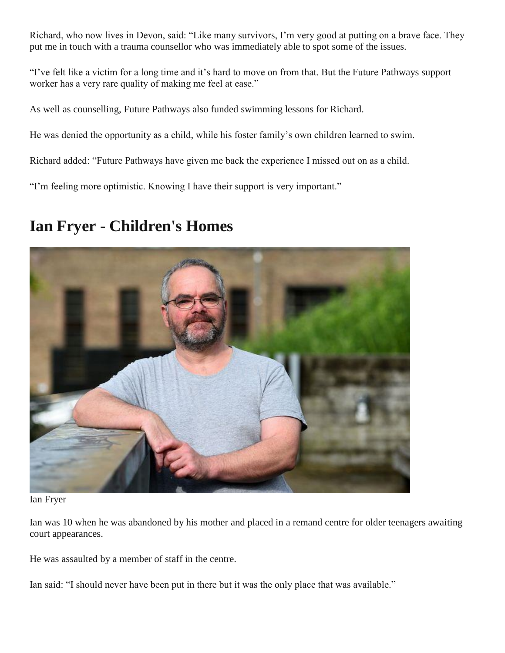Richard, who now lives in Devon, said: "Like many survivors, I'm very good at putting on a brave face. They put me in touch with a trauma counsellor who was immediately able to spot some of the issues.

"I've felt like a victim for a long time and it's hard to move on from that. But the Future Pathways support worker has a very rare quality of making me feel at ease."

As well as counselling, Future Pathways also funded swimming lessons for Richard.

He was denied the opportunity as a child, while his foster family's own children learned to swim.

Richard added: "Future Pathways have given me back the experience I missed out on as a child.

"I'm feeling more optimistic. Knowing I have their support is very important."

#### **Ian Fryer - Children's Homes**



Ian Fryer

Ian was 10 when he was abandoned by his mother and placed in a remand centre for older teenagers awaiting court appearances.

He was assaulted by a member of staff in the centre.

Ian said: "I should never have been put in there but it was the only place that was available."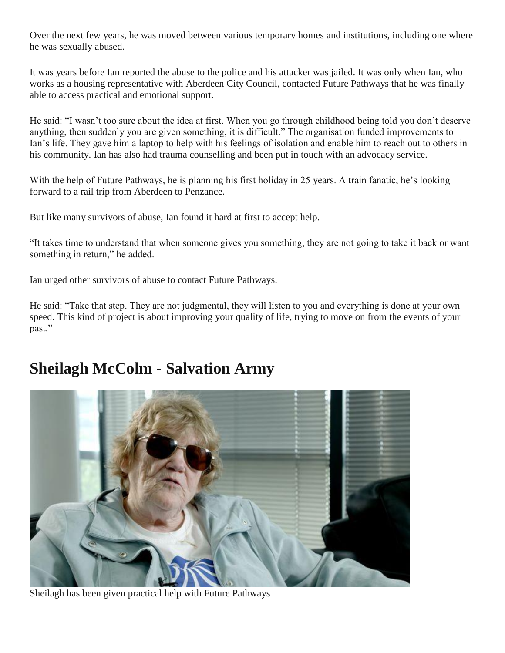Over the next few years, he was moved between various temporary homes and institutions, including one where he was sexually abused.

It was years before Ian reported the abuse to the police and his attacker was jailed. It was only when Ian, who works as a housing representative with Aberdeen City Council, contacted Future Pathways that he was finally able to access practical and emotional support.

He said: "I wasn't too sure about the idea at first. When you go through childhood being told you don't deserve anything, then suddenly you are given something, it is difficult." The organisation funded improvements to Ian's life. They gave him a laptop to help with his feelings of isolation and enable him to reach out to others in his community. Ian has also had trauma counselling and been put in touch with an advocacy service.

With the help of Future Pathways, he is planning his first holiday in 25 years. A train fanatic, he's looking forward to a rail trip from Aberdeen to Penzance.

But like many survivors of abuse, Ian found it hard at first to accept help.

"It takes time to understand that when someone gives you something, they are not going to take it back or want something in return," he added.

Ian urged other survivors of abuse to contact Future Pathways.

He said: "Take that step. They are not judgmental, they will listen to you and everything is done at your own speed. This kind of project is about improving your quality of life, trying to move on from the events of your past."

### **Sheilagh McColm - Salvation Army**



Sheilagh has been given practical help with Future Pathways